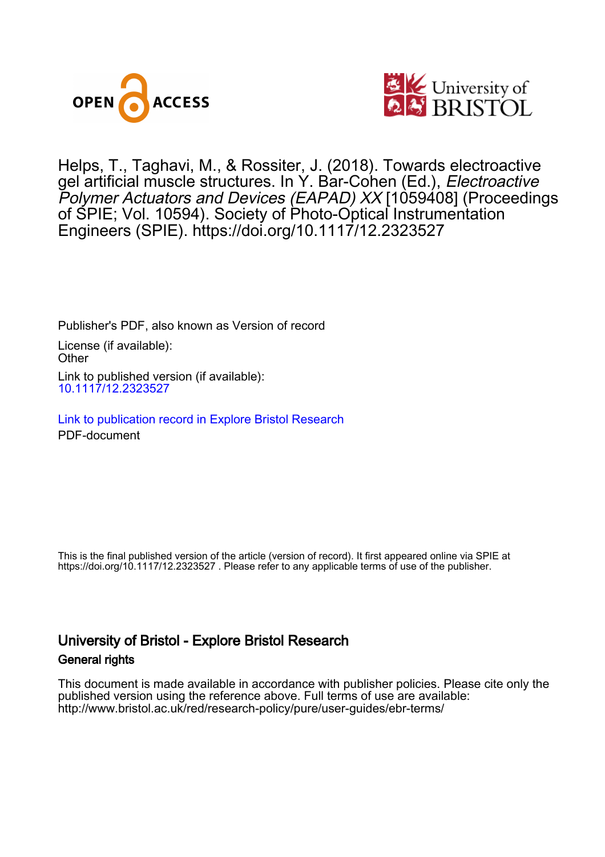



Helps, T., Taghavi, M. , & Rossiter, J. (2018). Towards electroactive gel artificial muscle structures. In Y. Bar-Cohen (Ed.), Electroactive Polymer Actuators and Devices (EAPAD) XX [1059408] (Proceedings of SPIE; Vol. 10594). Society of Photo-Optical Instrumentation Engineers (SPIE).<https://doi.org/10.1117/12.2323527>

Publisher's PDF, also known as Version of record License (if available): **Other** Link to published version (if available): [10.1117/12.2323527](https://doi.org/10.1117/12.2323527)

[Link to publication record in Explore Bristol Research](https://research-information.bris.ac.uk/en/publications/182ea3e0-102c-4685-b57b-34c24f57401f) PDF-document

This is the final published version of the article (version of record). It first appeared online via SPIE at https://doi.org/10.1117/12.2323527 . Please refer to any applicable terms of use of the publisher.

## University of Bristol - Explore Bristol Research General rights

This document is made available in accordance with publisher policies. Please cite only the published version using the reference above. Full terms of use are available: http://www.bristol.ac.uk/red/research-policy/pure/user-guides/ebr-terms/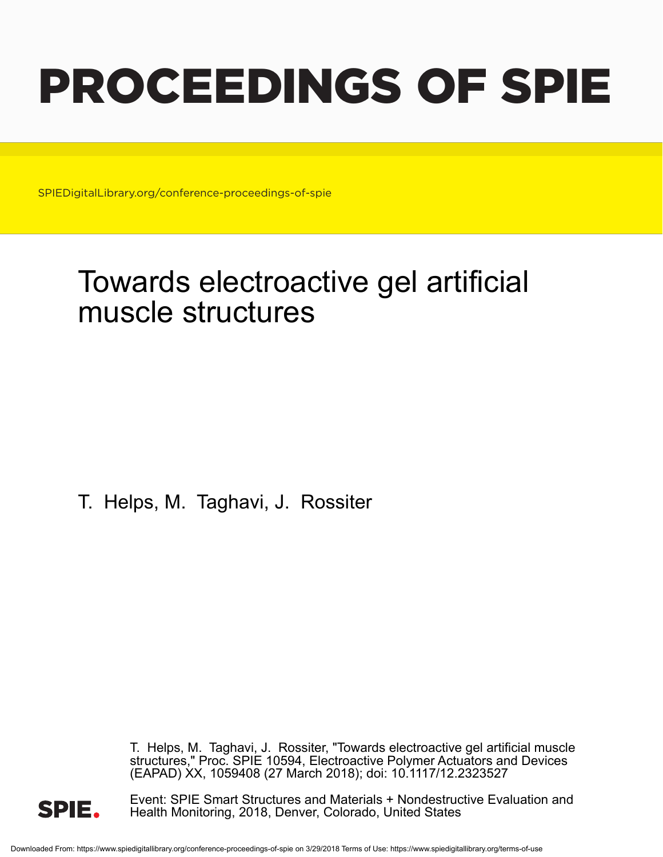# PROCEEDINGS OF SPIE

SPIEDigitalLibrary.org/conference-proceedings-of-spie

# Towards electroactive gel artificial muscle structures

T. Helps, M. Taghavi, J. Rossiter

T. Helps, M. Taghavi, J. Rossiter, "Towards electroactive gel artificial muscle structures," Proc. SPIE 10594, Electroactive Polymer Actuators and Devices (EAPAD) XX, 1059408 (27 March 2018); doi: 10.1117/12.2323527



Event: SPIE Smart Structures and Materials + Nondestructive Evaluation and Health Monitoring, 2018, Denver, Colorado, United States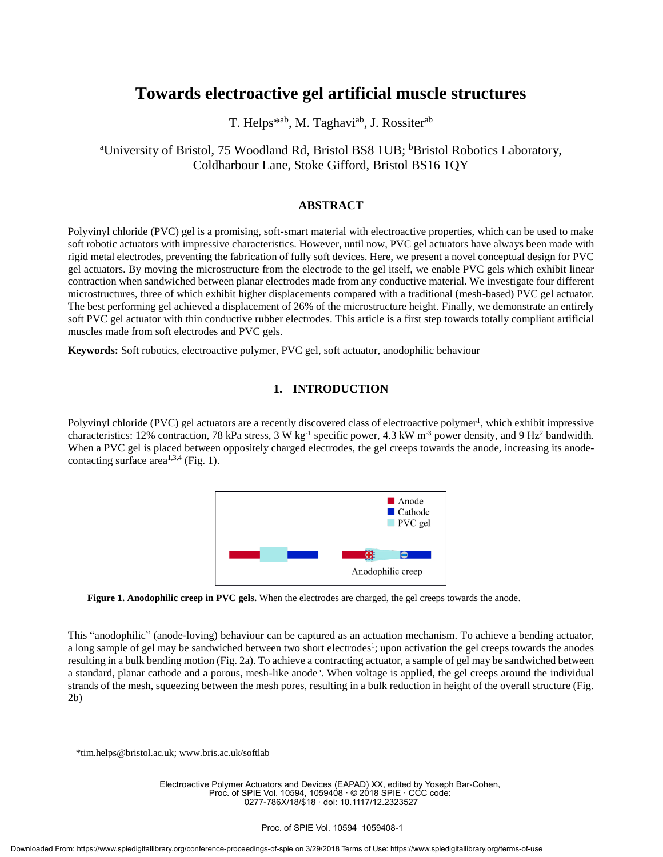### **Towards electroactive gel artificial muscle structures**

T. Helps<sup>\*ab</sup>, M. Taghavi<sup>ab</sup>, J. Rossiter<sup>ab</sup>

<sup>a</sup>University of Bristol, 75 Woodland Rd, Bristol BS8 1UB; <sup>b</sup>Bristol Robotics Laboratory, Coldharbour Lane, Stoke Gifford, Bristol BS16 1QY

#### **ABSTRACT**

Polyvinyl chloride (PVC) gel is a promising, soft-smart material with electroactive properties, which can be used to make soft robotic actuators with impressive characteristics. However, until now, PVC gel actuators have always been made with rigid metal electrodes, preventing the fabrication of fully soft devices. Here, we present a novel conceptual design for PVC gel actuators. By moving the microstructure from the electrode to the gel itself, we enable PVC gels which exhibit linear contraction when sandwiched between planar electrodes made from any conductive material. We investigate four different microstructures, three of which exhibit higher displacements compared with a traditional (mesh-based) PVC gel actuator. The best performing gel achieved a displacement of 26% of the microstructure height. Finally, we demonstrate an entirely soft PVC gel actuator with thin conductive rubber electrodes. This article is a first step towards totally compliant artificial muscles made from soft electrodes and PVC gels.

**Keywords:** Soft robotics, electroactive polymer, PVC gel, soft actuator, anodophilic behaviour

#### **1. INTRODUCTION**

Polyvinyl chloride (PVC) gel actuators are a recently discovered class of electroactive polymer<sup>1</sup>, which exhibit impressive characteristics: 12% contraction, 78 kPa stress, 3 W kg<sup>-1</sup> specific power, 4.3 kW m<sup>-3</sup> power density, and 9 Hz<sup>2</sup> bandwidth. When a PVC gel is placed between oppositely charged electrodes, the gel creeps towards the anode, increasing its anodecontacting surface area<sup>1,3,4</sup> (Fig. 1).



**Figure 1. Anodophilic creep in PVC gels.** When the electrodes are charged, the gel creeps towards the anode.

This "anodophilic" (anode-loving) behaviour can be captured as an actuation mechanism. To achieve a bending actuator, a long sample of gel may be sandwiched between two short electrodes<sup>1</sup>; upon activation the gel creeps towards the anodes resulting in a bulk bending motion (Fig. 2a). To achieve a contracting actuator, a sample of gel may be sandwiched between a standard, planar cathode and a porous, mesh-like anode<sup>5</sup>. When voltage is applied, the gel creeps around the individual strands of the mesh, squeezing between the mesh pores, resulting in a bulk reduction in height of the overall structure (Fig. 2b)

\*tim.helps@bristol.ac.uk; www.bris.ac.uk/softlab

Electroactive Polymer Actuators and Devices (EAPAD) XX, edited by Yoseph Bar-Cohen, Proc. of SPIE Vol. 10594, 1059408 · © 2018 SPIE · CCC code: 0277-786X/18/\$18 · doi: 10.1117/12.2323527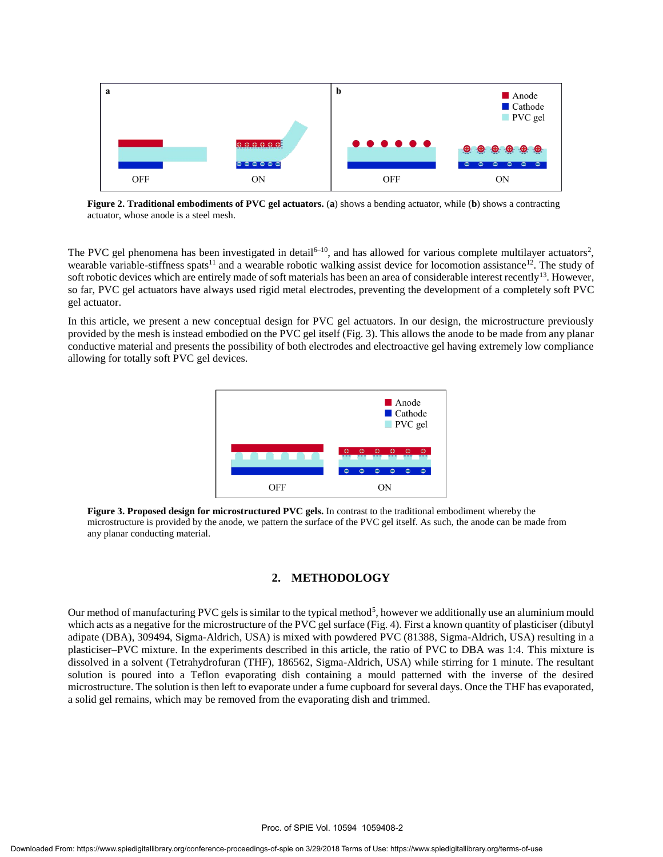

**Figure 2. Traditional embodiments of PVC gel actuators.** (**a**) shows a bending actuator, while (**b**) shows a contracting actuator, whose anode is a steel mesh.

The PVC gel phenomena has been investigated in detail<sup>6-10</sup>, and has allowed for various complete multilayer actuators<sup>2</sup>, wearable variable-stiffness spats<sup>11</sup> and a wearable robotic walking assist device for locomotion assistance<sup>12</sup>. The study of soft robotic devices which are entirely made of soft materials has been an area of considerable interest recently<sup>13</sup>. However, so far, PVC gel actuators have always used rigid metal electrodes, preventing the development of a completely soft PVC gel actuator.

In this article, we present a new conceptual design for PVC gel actuators. In our design, the microstructure previously provided by the mesh is instead embodied on the PVC gel itself (Fig. 3). This allows the anode to be made from any planar conductive material and presents the possibility of both electrodes and electroactive gel having extremely low compliance allowing for totally soft PVC gel devices.



**Figure 3. Proposed design for microstructured PVC gels.** In contrast to the traditional embodiment whereby the microstructure is provided by the anode, we pattern the surface of the PVC gel itself. As such, the anode can be made from any planar conducting material.

#### **2. METHODOLOGY**

Our method of manufacturing PVC gels is similar to the typical method<sup>5</sup>, however we additionally use an aluminium mould which acts as a negative for the microstructure of the PVC gel surface (Fig. 4). First a known quantity of plasticiser (dibutyl adipate (DBA), 309494, Sigma-Aldrich, USA) is mixed with powdered PVC (81388, Sigma-Aldrich, USA) resulting in a plasticiser–PVC mixture. In the experiments described in this article, the ratio of PVC to DBA was 1:4. This mixture is dissolved in a solvent (Tetrahydrofuran (THF), 186562, Sigma-Aldrich, USA) while stirring for 1 minute. The resultant solution is poured into a Teflon evaporating dish containing a mould patterned with the inverse of the desired microstructure. The solution is then left to evaporate under a fume cupboard for several days. Once the THF has evaporated, a solid gel remains, which may be removed from the evaporating dish and trimmed.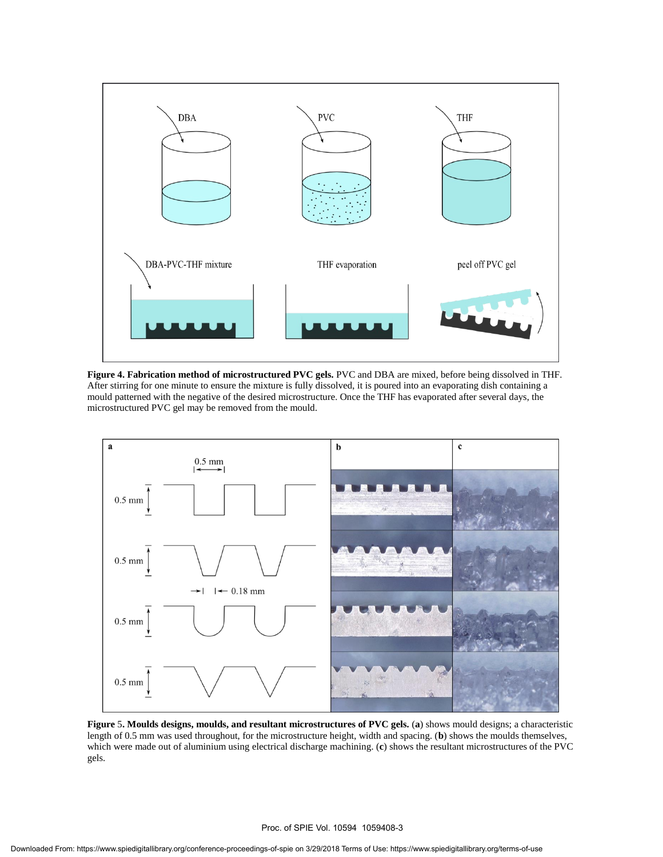

**Figure 4. Fabrication method of microstructured PVC gels.** PVC and DBA are mixed, before being dissolved in THF. After stirring for one minute to ensure the mixture is fully dissolved, it is poured into an evaporating dish containing a mould patterned with the negative of the desired microstructure. Once the THF has evaporated after several days, the microstructured PVC gel may be removed from the mould.



**Figure** 5**. Moulds designs, moulds, and resultant microstructures of PVC gels.** (**a**) shows mould designs; a characteristic length of 0.5 mm was used throughout, for the microstructure height, width and spacing. (**b**) shows the moulds themselves, which were made out of aluminium using electrical discharge machining. (**c**) shows the resultant microstructures of the PVC gels.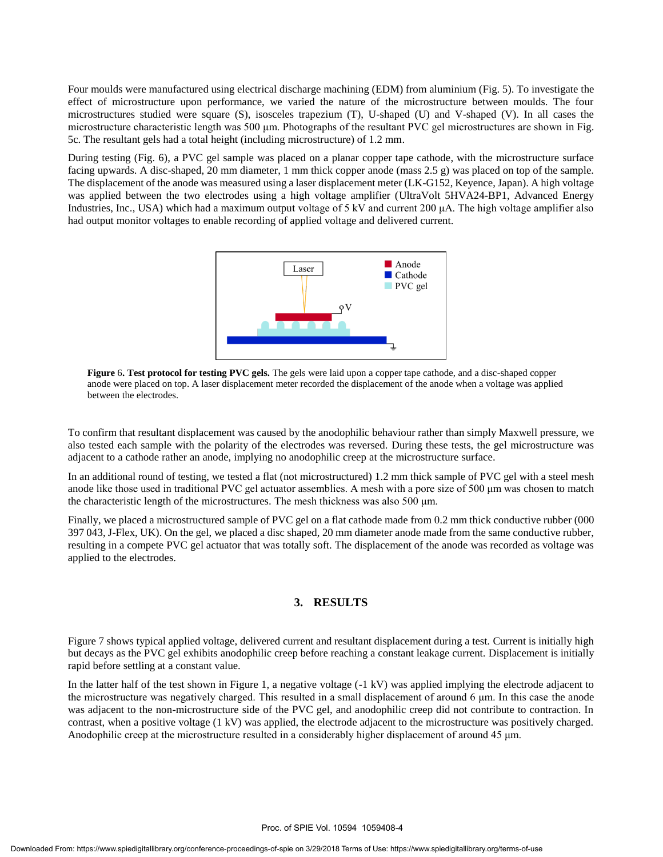Four moulds were manufactured using electrical discharge machining (EDM) from aluminium (Fig. 5). To investigate the effect of microstructure upon performance, we varied the nature of the microstructure between moulds. The four microstructures studied were square (S), isosceles trapezium (T), U-shaped (U) and V-shaped (V). In all cases the microstructure characteristic length was 500 μm. Photographs of the resultant PVC gel microstructures are shown in Fig. 5c. The resultant gels had a total height (including microstructure) of 1.2 mm.

During testing (Fig. 6), a PVC gel sample was placed on a planar copper tape cathode, with the microstructure surface facing upwards. A disc-shaped, 20 mm diameter, 1 mm thick copper anode (mass 2.5 g) was placed on top of the sample. The displacement of the anode was measured using a laser displacement meter (LK-G152, Keyence, Japan). A high voltage was applied between the two electrodes using a high voltage amplifier (UltraVolt 5HVA24-BP1, Advanced Energy Industries, Inc., USA) which had a maximum output voltage of 5 kV and current 200 μA. The high voltage amplifier also had output monitor voltages to enable recording of applied voltage and delivered current.



**Figure** 6**. Test protocol for testing PVC gels.** The gels were laid upon a copper tape cathode, and a disc-shaped copper anode were placed on top. A laser displacement meter recorded the displacement of the anode when a voltage was applied between the electrodes.

To confirm that resultant displacement was caused by the anodophilic behaviour rather than simply Maxwell pressure, we also tested each sample with the polarity of the electrodes was reversed. During these tests, the gel microstructure was adjacent to a cathode rather an anode, implying no anodophilic creep at the microstructure surface.

In an additional round of testing, we tested a flat (not microstructured) 1.2 mm thick sample of PVC gel with a steel mesh anode like those used in traditional PVC gel actuator assemblies. A mesh with a pore size of 500 μm was chosen to match the characteristic length of the microstructures. The mesh thickness was also 500 μm.

Finally, we placed a microstructured sample of PVC gel on a flat cathode made from 0.2 mm thick conductive rubber (000 397 043, J-Flex, UK). On the gel, we placed a disc shaped, 20 mm diameter anode made from the same conductive rubber, resulting in a compete PVC gel actuator that was totally soft. The displacement of the anode was recorded as voltage was applied to the electrodes.

#### **3. RESULTS**

Figure 7 shows typical applied voltage, delivered current and resultant displacement during a test. Current is initially high but decays as the PVC gel exhibits anodophilic creep before reaching a constant leakage current. Displacement is initially rapid before settling at a constant value.

In the latter half of the test shown in Figure 1, a negative voltage (-1 kV) was applied implying the electrode adjacent to the microstructure was negatively charged. This resulted in a small displacement of around  $6 \mu m$ . In this case the anode was adjacent to the non-microstructure side of the PVC gel, and anodophilic creep did not contribute to contraction. In contrast, when a positive voltage (1 kV) was applied, the electrode adjacent to the microstructure was positively charged. Anodophilic creep at the microstructure resulted in a considerably higher displacement of around 45 μm.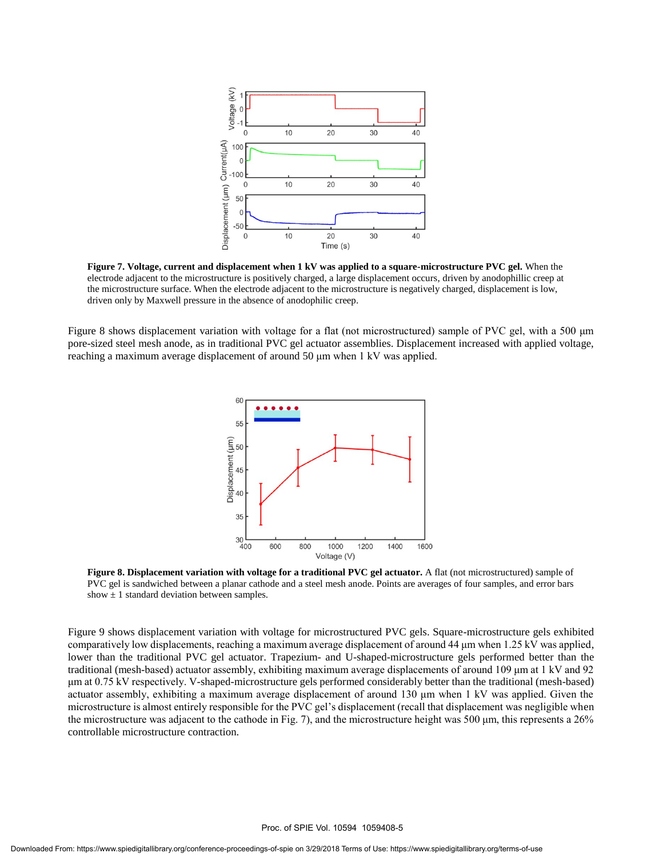

**Figure 7. Voltage, current and displacement when 1 kV was applied to a square-microstructure PVC gel.** When the electrode adjacent to the microstructure is positively charged, a large displacement occurs, driven by anodophillic creep at the microstructure surface. When the electrode adjacent to the microstructure is negatively charged, displacement is low, driven only by Maxwell pressure in the absence of anodophilic creep.

Figure 8 shows displacement variation with voltage for a flat (not microstructured) sample of PVC gel, with a 500 μm pore-sized steel mesh anode, as in traditional PVC gel actuator assemblies. Displacement increased with applied voltage, reaching a maximum average displacement of around 50 μm when 1 kV was applied.



**Figure 8. Displacement variation with voltage for a traditional PVC gel actuator.** A flat (not microstructured) sample of PVC gel is sandwiched between a planar cathode and a steel mesh anode. Points are averages of four samples, and error bars show  $\pm$  1 standard deviation between samples.

Figure 9 shows displacement variation with voltage for microstructured PVC gels. Square-microstructure gels exhibited comparatively low displacements, reaching a maximum average displacement of around 44 μm when 1.25 kV was applied, lower than the traditional PVC gel actuator. Trapezium- and U-shaped-microstructure gels performed better than the traditional (mesh-based) actuator assembly, exhibiting maximum average displacements of around 109 μm at 1 kV and 92 μm at 0.75 kV respectively. V-shaped-microstructure gels performed considerably better than the traditional (mesh-based) actuator assembly, exhibiting a maximum average displacement of around 130 μm when 1 kV was applied. Given the microstructure is almost entirely responsible for the PVC gel's displacement (recall that displacement was negligible when the microstructure was adjacent to the cathode in Fig. 7), and the microstructure height was 500 μm, this represents a 26% controllable microstructure contraction.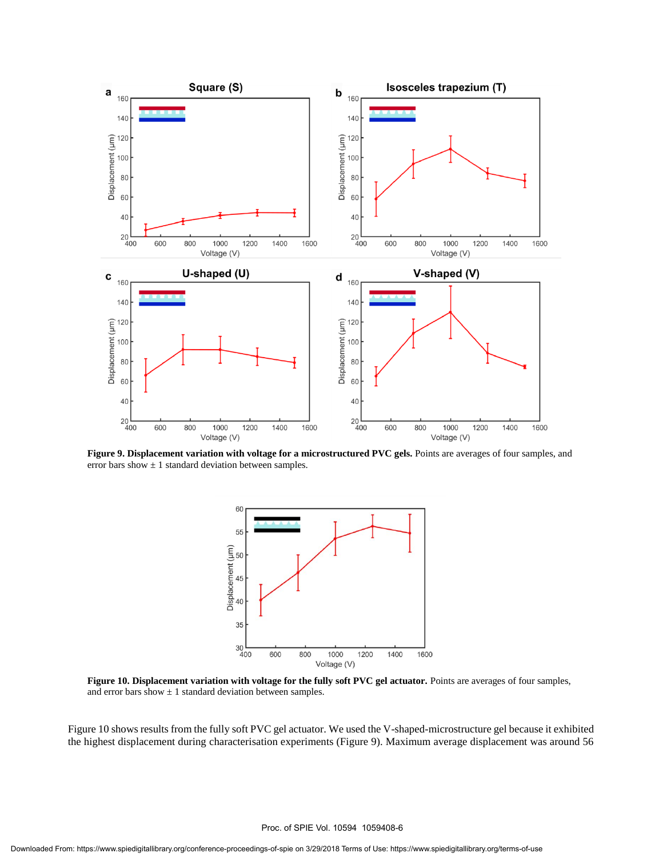

**Figure 9. Displacement variation with voltage for a microstructured PVC gels.** Points are averages of four samples, and error bars show  $\pm 1$  standard deviation between samples.



**Figure 10. Displacement variation with voltage for the fully soft PVC gel actuator.** Points are averages of four samples, and error bars show  $\pm 1$  standard deviation between samples.

Figure 10 shows results from the fully soft PVC gel actuator. We used the V-shaped-microstructure gel because it exhibited the highest displacement during characterisation experiments (Figure 9). Maximum average displacement was around 56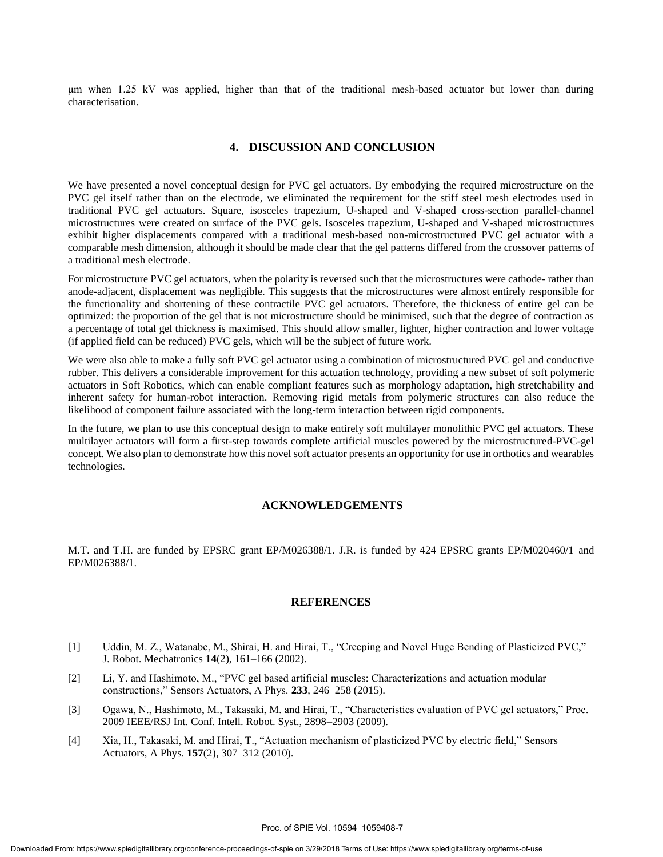μm when 1.25 kV was applied, higher than that of the traditional mesh-based actuator but lower than during characterisation.

#### **4. DISCUSSION AND CONCLUSION**

We have presented a novel conceptual design for PVC gel actuators. By embodying the required microstructure on the PVC gel itself rather than on the electrode, we eliminated the requirement for the stiff steel mesh electrodes used in traditional PVC gel actuators. Square, isosceles trapezium, U-shaped and V-shaped cross-section parallel-channel microstructures were created on surface of the PVC gels. Isosceles trapezium, U-shaped and V-shaped microstructures exhibit higher displacements compared with a traditional mesh-based non-microstructured PVC gel actuator with a comparable mesh dimension, although it should be made clear that the gel patterns differed from the crossover patterns of a traditional mesh electrode.

For microstructure PVC gel actuators, when the polarity is reversed such that the microstructures were cathode- rather than anode-adjacent, displacement was negligible. This suggests that the microstructures were almost entirely responsible for the functionality and shortening of these contractile PVC gel actuators. Therefore, the thickness of entire gel can be optimized: the proportion of the gel that is not microstructure should be minimised, such that the degree of contraction as a percentage of total gel thickness is maximised. This should allow smaller, lighter, higher contraction and lower voltage (if applied field can be reduced) PVC gels, which will be the subject of future work.

We were also able to make a fully soft PVC gel actuator using a combination of microstructured PVC gel and conductive rubber. This delivers a considerable improvement for this actuation technology, providing a new subset of soft polymeric actuators in Soft Robotics, which can enable compliant features such as morphology adaptation, high stretchability and inherent safety for human-robot interaction. Removing rigid metals from polymeric structures can also reduce the likelihood of component failure associated with the long-term interaction between rigid components.

In the future, we plan to use this conceptual design to make entirely soft multilayer monolithic PVC gel actuators. These multilayer actuators will form a first-step towards complete artificial muscles powered by the microstructured-PVC-gel concept. We also plan to demonstrate how this novel soft actuator presents an opportunity for use in orthotics and wearables technologies.

#### **ACKNOWLEDGEMENTS**

M.T. and T.H. are funded by EPSRC grant EP/M026388/1. J.R. is funded by 424 EPSRC grants EP/M020460/1 and EP/M026388/1.

#### **REFERENCES**

- [1] Uddin, M. Z., Watanabe, M., Shirai, H. and Hirai, T., "Creeping and Novel Huge Bending of Plasticized PVC," J. Robot. Mechatronics **14**(2), 161–166 (2002).
- [2] Li, Y. and Hashimoto, M., "PVC gel based artificial muscles: Characterizations and actuation modular constructions," Sensors Actuators, A Phys. **233**, 246–258 (2015).
- [3] Ogawa, N., Hashimoto, M., Takasaki, M. and Hirai, T., "Characteristics evaluation of PVC gel actuators," Proc. 2009 IEEE/RSJ Int. Conf. Intell. Robot. Syst., 2898–2903 (2009).
- [4] Xia, H., Takasaki, M. and Hirai, T., "Actuation mechanism of plasticized PVC by electric field," Sensors Actuators, A Phys. **157**(2), 307–312 (2010).